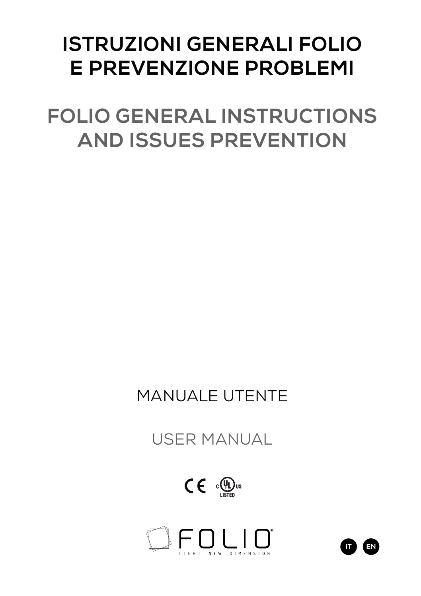# **ISTRUZIONI GENERALI FOLIO E PREVENZIONE PROBLEMI**

**FOLIO GENERAL INSTRUCTIONS AND ISSUES PREVENTION**

# MANUALE UTENTE

USER MANUAL

 $C \in \mathbb{C}$ 



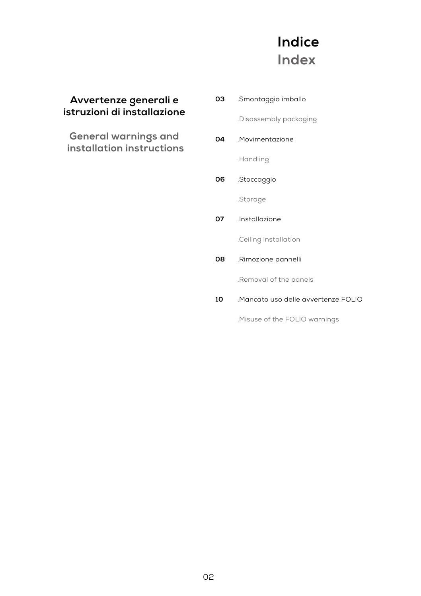#### **Indice Index**

#### **Avvertenze generali e istruzioni di installazione**

**General warnings and installation instructions**

.Smontaggio imballo .Disassembly packaging .Movimentazione .Handling .Stoccaggio .Storage .Installazione .Ceiling installation .Rimozione pannelli .Removal of the panels .Mancato uso delle avvertenze FOLIO **03 04 06 07 08 10**

.Misuse of the FOLIO warnings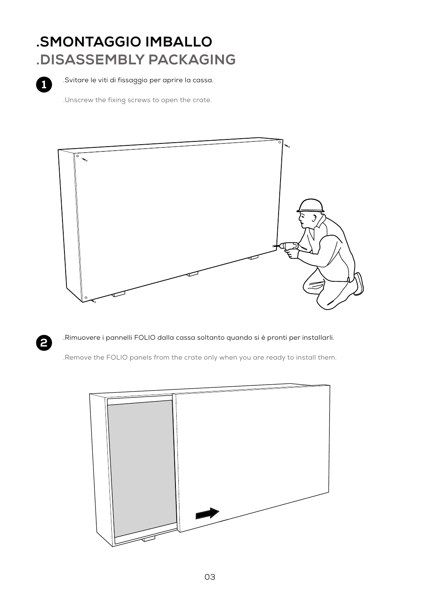# **.SMONTAGGIO IMBALLO .DISASSEMBLY PACKAGING**



.Svitare le viti di fissaggio per aprire la cassa.

.Unscrew the fixing screws to open the crate.





.Rimuovere i pannelli FOLIO dalla cassa soltanto quando si è pronti per installarli.

.Remove the FOLIO panels from the crate only when you are ready to install them.

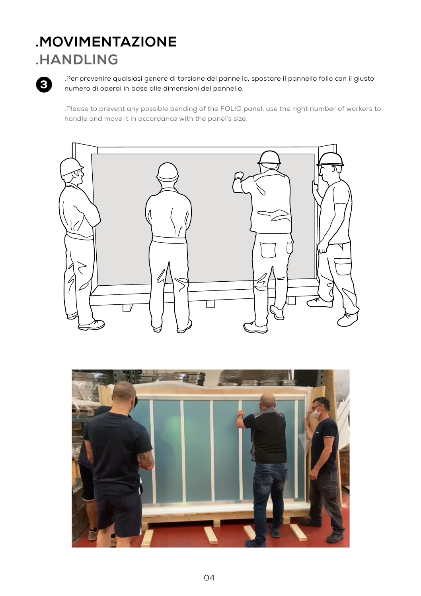# **.MOVIMENTAZIONE**

#### **.HANDLING**



.Per prevenire qualsiasi genere di torsione del pannello, spostare il pannello folio con il giusto numero di operai in base alle dimensioni del pannello.

.Please to prevent any possible bending of the FOLIO panel, use the right number of workers to handle and move it in accordance with the panel's size.



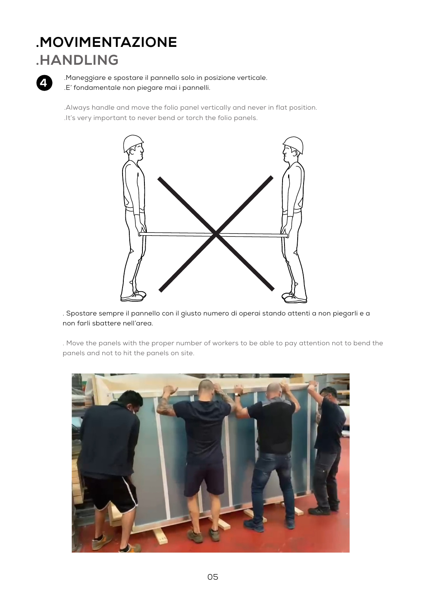# **.MOVIMENTAZIONE**

#### **.HANDLING**



.Maneggiare e spostare il pannello solo in posizione verticale. .E' fondamentale non piegare mai i pannelli.

.Always handle and move the folio panel vertically and never in flat position. .It's very important to never bend or torch the folio panels.



. Spostare sempre il pannello con il giusto numero di operai stando attenti a non piegarli e a non farli sbattere nell'area.

. Move the panels with the proper number of workers to be able to pay attention not to bend the panels and not to hit the panels on site.

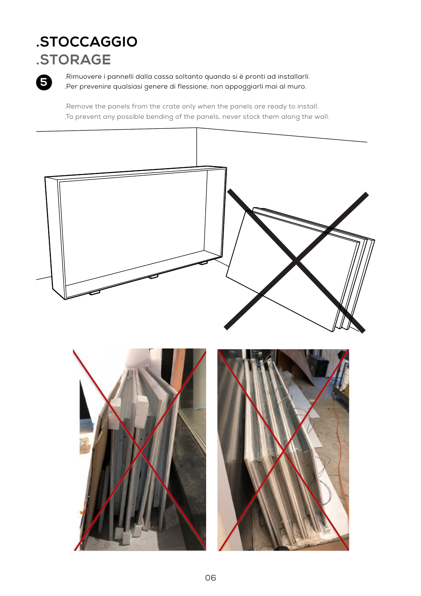#### **.STOCCAGGIO .STORAGE**



.Rimuovere i pannelli dalla cassa soltanto quando si è pronti ad installarli. .Per prevenire qualsiasi genere di flessione, non appoggiarli mai al muro.

.Remove the panels from the crate only when the panels are ready to install. .To prevent any possible bending of the panels, never stock them along the wall.

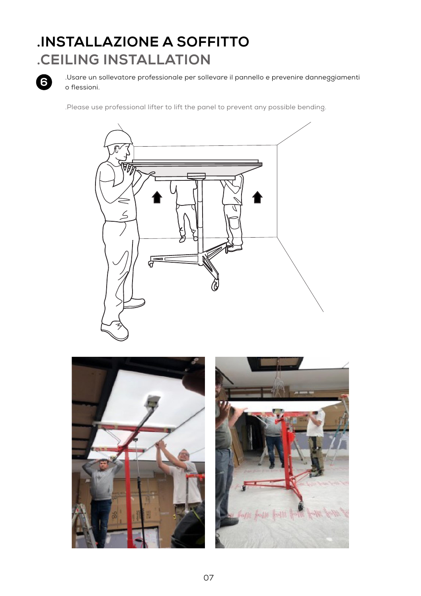# **.INSTALLAZIONE A SOFFITTO .CEILING INSTALLATION**



.Usare un sollevatore professionale per sollevare il pannello e prevenire danneggiamenti o flessioni.

.Please use professional lifter to lift the panel to prevent any possible bending.



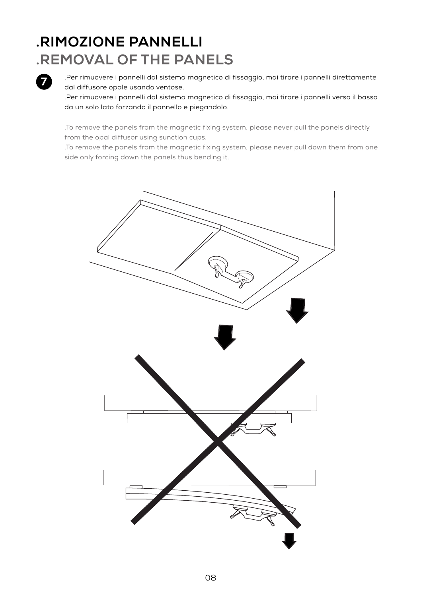# **.RIMOZIONE PANNELLI .REMOVAL OF THE PANELS**



.Per rimuovere i pannelli dal sistema magnetico di fissaggio, mai tirare i pannelli direttamente dal diffusore opale usando ventose.

.Per rimuovere i pannelli dal sistema magnetico di fissaggio, mai tirare i pannelli verso il basso da un solo lato forzando il pannello e piegandolo.

.To remove the panels from the magnetic fixing system, please never pull the panels directly from the opal diffusor using sunction cups.

.To remove the panels from the magnetic fixing system, please never pull down them from one side only forcing down the panels thus bending it.

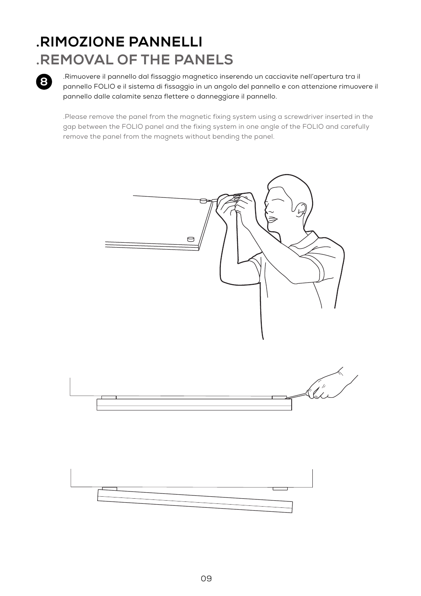# **.RIMOZIONE PANNELLI .REMOVAL OF THE PANELS**



.Rimuovere il pannello dal fissaggio magnetico inserendo un cacciavite nell'apertura tra il pannello FOLIO e il sistema di fissaggio in un angolo del pannello e con attenzione rimuovere il pannello dalle calamite senza flettere o danneggiare il pannello.

.Please remove the panel from the magnetic fixing system using a screwdriver inserted in the gap between the FOLIO panel and the fixing system in one angle of the FOLIO and carefully remove the panel from the magnets without bending the panel.

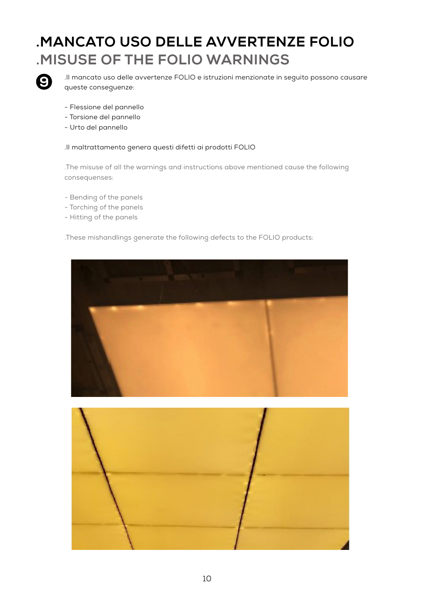### **.MANCATO USO DELLE AVVERTENZE FOLIO .MISUSE OF THE FOLIO WARNINGS**



.Il mancato uso delle avvertenze FOLIO e istruzioni menzionate in seguito possono causare queste conseguenze:

- Flessione del pannello
- Torsione del pannello
- Urto del pannello

.Il maltrattamento genera questi difetti ai prodotti FOLIO

.The misuse of all the warnings and instructions above mentioned cause the following consequenses:

- Bending of the panels
- Torching of the panels
- Hitting of the panels

.These mishandlings generate the following defects to the FOLIO products:



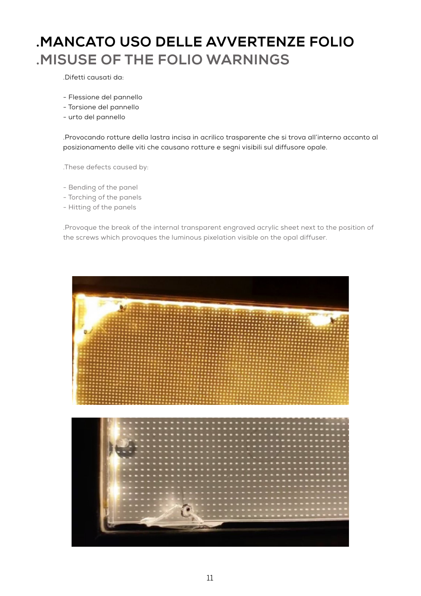### **.MANCATO USO DELLE AVVERTENZE FOLIO .MISUSE OF THE FOLIO WARNINGS**

.Difetti causati da:

- Flessione del pannello
- Torsione del pannello
- urto del pannello

.Provocando rotture della lastra incisa in acrilico trasparente che si trova all'interno accanto al posizionamento delle viti che causano rotture e segni visibili sul diffusore opale.

.These defects caused by:

- Bending of the panel
- Torching of the panels
- Hitting of the panels

.Provoque the break of the internal transparent engraved acrylic sheet next to the position of the screws which provoques the luminous pixelation visible on the opal diffuser.